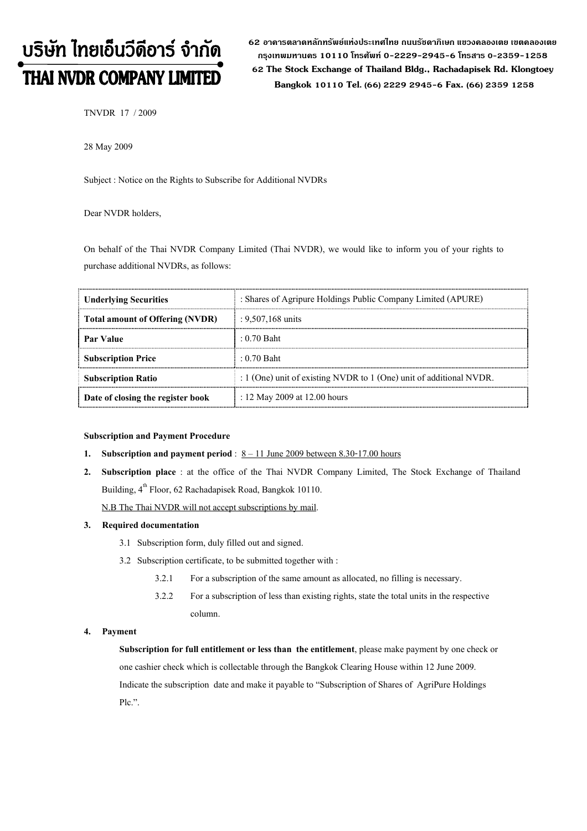# บริษัท ไทยเอ็นวีดีอาร์ จำกัด **THAI NVDR COMPANY LIMITED**

62 อาดารตลาดหลักทรัพย์แห่งประเทศไทย ถนนรัซดาภิเษก แขวงดลองเตย เขตดลองเตย กรงเทพมหานดร 10110 โทรศัพท์ 0-2229-2945-6 โทรสาร 0-2359-1258 62 The Stock Exchange of Thailand Bldg., Rachadapisek Rd. Klongtoey Bangkok 10110 Tel. (66) 2229 2945-6 Fax. (66) 2359 1258

TNVDR 17 / 2009

28 May 2009

Subject : Notice on the Rights to Subscribe for Additional NVDRs

# Dear NVDR holders,

On behalf of the Thai NVDR Company Limited (Thai NVDR), we would like to inform you of your rights to purchase additional NVDRs, as follows:

| <b>Underlying Securities</b>           | : Shares of Agripure Holdings Public Company Limited (APURE)            |  |
|----------------------------------------|-------------------------------------------------------------------------|--|
| <b>Total amount of Offering (NVDR)</b> | : $9,507,168$ units                                                     |  |
| <b>Par Value</b>                       | $\pm 0.70$ Baht                                                         |  |
| <b>Subscription Price</b>              | $\pm 0.70$ Baht                                                         |  |
| <b>Subscription Ratio</b>              | : $1$ (One) unit of existing NVDR to $1$ (One) unit of additional NVDR. |  |
| Date of closing the register book      | : 12 May 2009 at 12.00 hours                                            |  |

#### Subscription and Payment Procedure

- 1. Subscription and payment period :  $8 11$  June 2009 between 8.30-17.00 hours
- 2. Subscription place : at the office of the Thai NVDR Company Limited, The Stock Exchange of Thailand Building, 4<sup>th</sup> Floor, 62 Rachadapisek Road, Bangkok 10110.

N.B The Thai NVDR will not accept subscriptions by mail.

#### 3. Required documentation

- 3.1 Subscription form, duly filled out and signed.
- 3.2 Subscription certificate, to be submitted together with :
	- 3.2.1 For a subscription of the same amount as allocated, no filling is necessary.
	- 3.2.2 For a subscription of less than existing rights, state the total units in the respective column.

### 4. Payment

Subscription for full entitlement or less than the entitlement, please make payment by one check or one cashier check which is collectable through the Bangkok Clearing House within 12 June 2009. Indicate the subscription date and make it payable to "Subscription of Shares of AgriPure Holdings Plc.".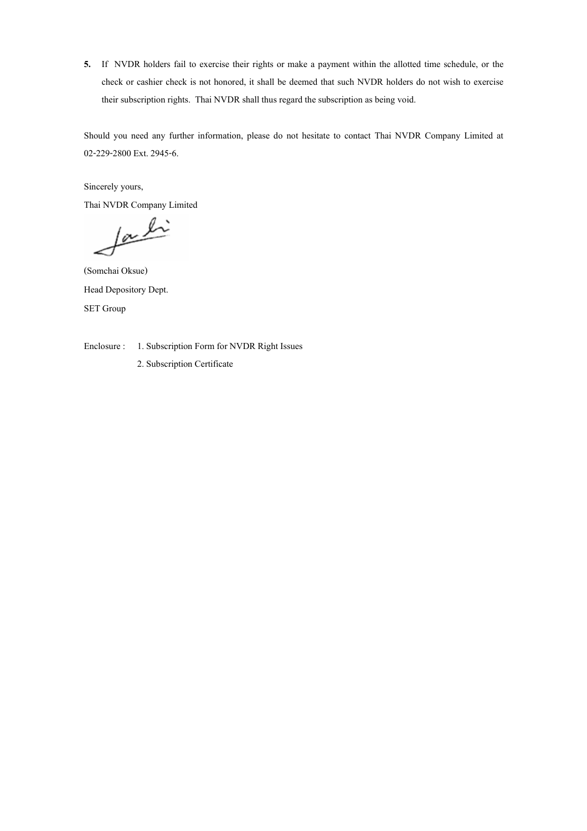5. If NVDR holders fail to exercise their rights or make a payment within the allotted time schedule, or the check or cashier check is not honored, it shall be deemed that such NVDR holders do not wish to exercise their subscription rights. Thai NVDR shall thus regard the subscription as being void.

Should you need any further information, please do not hesitate to contact Thai NVDR Company Limited at 02-229-2800 Ext. 2945-6.

Sincerely yours,

Thai NVDR Company Limited

facti

(Somchai Oksue) Head Depository Dept. SET Group

Enclosure : 1. Subscription Form for NVDR Right Issues

2. Subscription Certificate